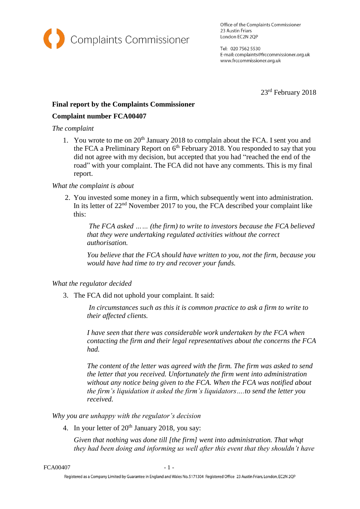

Office of the Complaints Commissioner 23 Austin Friars London EC2N 2QP

Tel: 020 7562 5530 E-mail: complaints@frccommissioner.org.uk www.frccommissioner.org.uk

23rd February 2018

# **Final report by the Complaints Commissioner**

## **Complaint number FCA00407**

#### *The complaint*

1. You wrote to me on  $20<sup>th</sup>$  January 2018 to complain about the FCA. I sent you and the FCA a Preliminary Report on  $6<sup>th</sup>$  February 2018. You responded to say that you did not agree with my decision, but accepted that you had "reached the end of the road" with your complaint. The FCA did not have any comments. This is my final report.

## *What the complaint is about*

2. You invested some money in a firm, which subsequently went into administration. In its letter of 22nd November 2017 to you, the FCA described your complaint like this:

*The FCA asked …… (the firm) to write to investors because the FCA believed that they were undertaking regulated activities without the correct authorisation.*

*You believe that the FCA should have written to you, not the firm, because you would have had time to try and recover your funds.*

## *What the regulator decided*

3. The FCA did not uphold your complaint. It said:

*In circumstances such as this it is common practice to ask a firm to write to their affected clients.* 

*I have seen that there was considerable work undertaken by the FCA when contacting the firm and their legal representatives about the concerns the FCA had.* 

*The content of the letter was agreed with the firm. The firm was asked to send the letter that you received. Unfortunately the firm went into administration without any notice being given to the FCA. When the FCA was notified about the firm's liquidation it asked the firm's liquidators….to send the letter you received.*

*Why you are unhappy with the regulator's decision*

4. In your letter of  $20<sup>th</sup>$  January 2018, you say:

*Given that nothing was done till [the firm] went into administration. That whqt they had been doing and informing us well after this event that they shouldn't have*